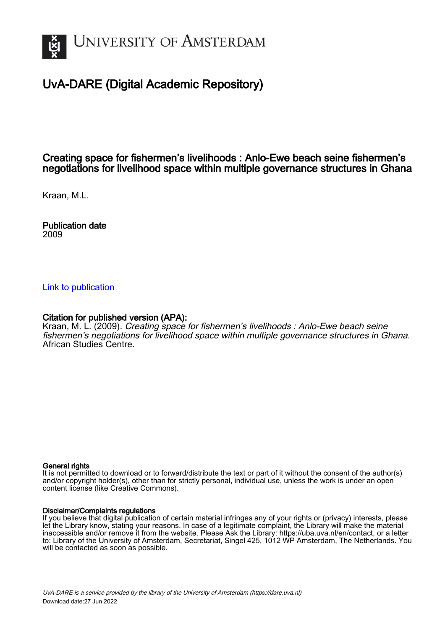

# UvA-DARE (Digital Academic Repository)

## Creating space for fishermen's livelihoods : Anlo-Ewe beach seine fishermen's negotiations for livelihood space within multiple governance structures in Ghana

Kraan, M.L.

Publication date 2009

### [Link to publication](https://dare.uva.nl/personal/pure/en/publications/creating-space-for-fishermens-livelihoods--anloewe-beach-seine-fishermens-negotiations-for-livelihood-space-within-multiple-governance-structures-in-ghana(b83e4c44-0af3-4ffa-beaf-444b1bec2216).html)

### Citation for published version (APA):

Kraan, M. L. (2009). Creating space for fishermen's livelihoods : Anlo-Ewe beach seine fishermen's negotiations for livelihood space within multiple governance structures in Ghana. African Studies Centre.

#### General rights

It is not permitted to download or to forward/distribute the text or part of it without the consent of the author(s) and/or copyright holder(s), other than for strictly personal, individual use, unless the work is under an open content license (like Creative Commons).

#### Disclaimer/Complaints regulations

If you believe that digital publication of certain material infringes any of your rights or (privacy) interests, please let the Library know, stating your reasons. In case of a legitimate complaint, the Library will make the material inaccessible and/or remove it from the website. Please Ask the Library: https://uba.uva.nl/en/contact, or a letter to: Library of the University of Amsterdam, Secretariat, Singel 425, 1012 WP Amsterdam, The Netherlands. You will be contacted as soon as possible.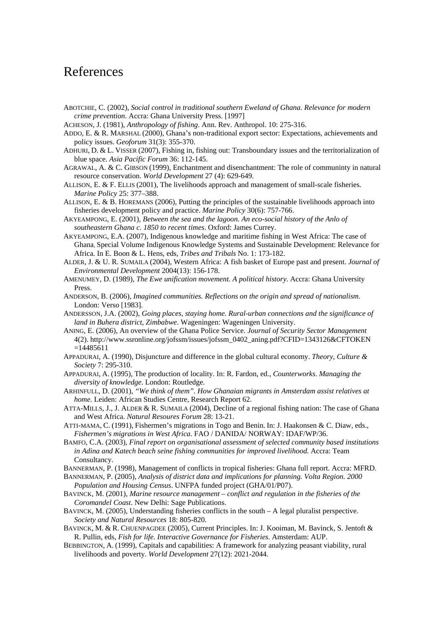# References

- ABOTCHIE, C. (2002), *Social control in traditional southern Eweland of Ghana. Relevance for modern crime prevention*. Accra: Ghana University Press. [1997]
- ACHESON, J. (1981), *Anthropology of fishing*. Ann. Rev. Anthropol. 10: 275-316.
- ADDO, E. & R. MARSHAL (2000), Ghana's non-traditional export sector: Expectations, achievements and policy issues. *Geoforum* 31(3): 355-370.
- ADHURI, D. & L. VISSER (2007), Fishing in, fishing out: Transboundary issues and the territorialization of blue space. *Asia Pacific Forum* 36: 112-145.
- AGRAWAL, A. & C. GIBSON (1999), Enchantment and disenchantment: The role of communinty in natural resource conservation. *World Development* 27 (4): 629-649.
- ALLISON, E. & F. ELLIS (2001), The livelihoods approach and management of small-scale fisheries. *Marine Policy* 25: 377–388.
- ALLISON, E. & B. HOREMANS (2006), Putting the principles of the sustainable livelihoods approach into fisheries development policy and practice. *Marine Policy* 30(6): 757-766.
- AKYEAMPONG, E. (2001), *Between the sea and the lagoon. An eco-social history of the Anlo of southeastern Ghana c. 1850 to recent times*. Oxford: James Currey.
- AKYEAMPONG, E.A. (2007), Indigenous knowledge and maritime fishing in West Africa: The case of Ghana*,* Special Volume Indigenous Knowledge Systems and Sustainable Development: Relevance for Africa. In E. Boon & L. Hens, eds, *Tribes and Tribals* No. 1: 173-182.
- ALDER, J. & U. R. SUMAILA (2004), Western Africa: A fish basket of Europe past and present. *Journal of Environmental Development* 2004(13): 156-178.
- AMENUMEY, D. (1989), *The Ewe unification movement. A political history*. Accra: Ghana University **Press**
- ANDERSON, B. (2006), *Imagined communities. Reflections on the origin and spread of nationalism*. London: Verso [1983].
- ANDERSSON, J.A. (2002), *Going places, staying home. Rural-urban connections and the significance of land in Buhera district, Zimbabwe*. Wageningen: Wageningen University.
- ANING, E. (2006), An overview of the Ghana Police Service. *Journal of Security Sector Management* 4(2). http://www.ssronline.org/jofssm/issues/jofssm\_0402\_aning.pdf?CFID=1343126&CFTOKEN =14485611
- APPADURAI, A. (1990), Disjuncture and difference in the global cultural economy. *Theory, Culture & Society* 7: 295-310.
- APPADURAI, A. (1995), The production of locality. In: R. Fardon, ed., *Counterworks. Managing the diversity of knowledge*. London: Routledge.
- ARHINFULL, D. (2001), *"We think of them". How Ghanaian migrants in Amsterdam assist relatives at home.* Leiden: African Studies Centre, Research Report 62.
- ATTA-MILLS, J., J. ALDER & R. SUMAILA (2004), Decline of a regional fishing nation: The case of Ghana and West Africa. *Natural Resoures Forum* 28: 13-21.
- ATTI-MAMA, C. (1991), Fishermen's migrations in Togo and Benin. In: J. Haakonsen & C. Diaw, eds., *Fishermen's migrations in West Africa*. FAO / DANIDA/ NORWAY: IDAF/WP/36.
- BAMFO, C.A. (2003), *Final report on organisational assessment of selected community based institutions in Adina and Katech beach seine fishing communities for improved livelihood*. Accra: Team Consultancy.
- BANNERMAN, P. (1998), Management of conflicts in tropical fisheries: Ghana full report. Accra: MFRD.
- BANNERMAN, P. (2005), *Analysis of district data and implications for planning. Volta Region. 2000 Population and Housing Census*. UNFPA funded project (GHA/01/P07).
- BAVINCK, M. (2001), *Marine resource management conflict and regulation in the fisheries of the Coromandel Coast*. New Delhi: Sage Publications.
- BAVINCK, M. (2005), Understanding fisheries conflicts in the south A legal pluralist perspective. *Society and Natural Resources* 18: 805-820.
- BAVINCK, M. & R. CHUENPAGDEE (2005), Current Principles. In: J. Kooiman, M. Bavinck, S. Jentoft & R. Pullin, eds, *Fish for life. Interactive Governance for Fisheries.* Amsterdam: AUP.
- BEBBINGTON, A. (1999), Capitals and capabilities: A framework for analyzing peasant viability, rural livelihoods and poverty. *World Development* 27(12): 2021-2044.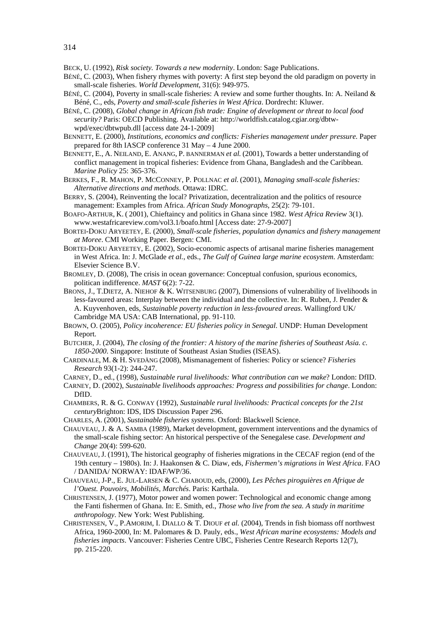- BÉNÉ, C. (2003), When fishery rhymes with poverty: A first step beyond the old paradigm on poverty in small-scale fisheries. *World Development*, 31(6): 949-975.
- BÉNÉ, C. (2004), Poverty in small-scale fisheries: A review and some further thoughts. In: A. Neiland & Béné, C., eds, *Poverty and small-scale fisheries in West Africa*. Dordrecht: Kluwer.
- BÉNÉ, C. (2008), *Global change in African fish trade: Engine of development or threat to local food security?* Paris: OECD Publishing. Available at: http://worldfish.catalog.cgiar.org/dbtwwpd/exec/dbtwpub.dll [access date 24-1-2009]
- BENNETT, E. (2000), *Institutions, economics and conflicts: Fisheries management under pressure*. Paper prepared for 8th IASCP conference 31 May – 4 June 2000.
- BENNETT, E., A. NEILAND, E. ANANG, P. BANNERMAN *et al.* (2001), Towards a better understanding of conflict management in tropical fisheries: Evidence from Ghana, Bangladesh and the Caribbean. *Marine Policy* 25: 365-376.
- BERKES, F., R. MAHON, P. MCCONNEY, P. POLLNAC *et al.* (2001), *Managing small-scale fisheries: Alternative directions and methods*. Ottawa: IDRC.
- BERRY, S. (2004), Reinventing the local? Privatization, decentralization and the politics of resource management: Examples from Africa. *African Study Monographs*, 25(2): 79-101.
- BOAFO-ARTHUR, K. ( 2001), Chieftaincy and politics in Ghana since 1982. *West Africa Review* 3(1). www.westafricareview.com/vol3.1/boafo.html [Access date: 27-9-2007]
- BORTEI-DOKU ARYEETEY, E. (2000), *Small-scale fisheries, population dynamics and fishery management at Moree*. CMI Working Paper. Bergen: CMI.
- BORTEI-DOKU ARYEETEY, E. (2002), Socio-economic aspects of artisanal marine fisheries management in West Africa. In: J. McGlade *et al.*, eds., *The Gulf of Guinea large marine ecosystem*. Amsterdam: Elsevier Science B.V.
- BROMLEY, D. (2008), The crisis in ocean governance: Conceptual confusion, spurious economics, politican indifference. *MAST* 6(2): 7-22.
- BRONS, J., T.DIETZ, A. NIEHOF & K. WITSENBURG (2007), Dimensions of vulnerability of livelihoods in less-favoured areas: Interplay between the individual and the collective. In: R. Ruben, J. Pender & A. Kuyvenhoven, eds, *Sustainable poverty reduction in less-favoured areas*. Wallingford UK/ Cambridge MA USA: CAB International, pp. 91-110.
- BROWN, O. (2005), *Policy incoherence: EU fisheries policy in Senegal*. UNDP: Human Development Report.
- BUTCHER, J. (2004), *The closing of the frontier: A history of the marine fisheries of Southeast Asia. c. 1850-2000*. Singapore: Institute of Southeast Asian Studies (ISEAS).
- CARDINALE, M. & H. SVEDÄNG (2008), Mismanagement of fisheries: Policy or science? *Fisheries Research* 93(1-2): 244-247.
- CARNEY, D., ed., (1998), *Sustainable rural livelihoods: What contribution can we make*? London: DfID.
- CARNEY, D. (2002), *Sustainable livelihoods approaches: Progress and possibilities for change*. London: DfID.
- CHAMBERS, R. & G. CONWAY (1992), *Sustainable rural livelihoods: Practical concepts for the 21st century*Brighton: IDS, IDS Discussion Paper 296.
- CHARLES, A. (2001), *Sustainable fisheries systems*. Oxford: Blackwell Science.
- CHAUVEAU, J. & A. SAMBA (1989), [Market](http://opc4-ascl.pica.nl/DB=3/SET=1/TTL=28/CLK?IKT=4&TRM=Market) [development,](http://opc4-ascl.pica.nl/DB=3/SET=1/TTL=28/CLK?IKT=4&TRM=development) [government](http://opc4-ascl.pica.nl/DB=3/SET=1/TTL=28/CLK?IKT=4&TRM=government) [interventions](http://opc4-ascl.pica.nl/DB=3/SET=1/TTL=28/CLK?IKT=4&TRM=interventions) and the [dynamics](http://opc4-ascl.pica.nl/DB=3/SET=1/TTL=28/CLK?IKT=4&TRM=dynamics) of the [small-scale](http://opc4-ascl.pica.nl/DB=3/SET=1/TTL=28/CLK?IKT=4&TRM=small-scale) [fishing](http://opc4-ascl.pica.nl/DB=3/SET=1/TTL=28/CLK?IKT=4&TRM=fishing) [sector:](http://opc4-ascl.pica.nl/DB=3/SET=1/TTL=28/CLK?IKT=4&TRM=sector) An [historical](http://opc4-ascl.pica.nl/DB=3/SET=1/TTL=28/CLK?IKT=4&TRM=historical) [perspective](http://opc4-ascl.pica.nl/DB=3/SET=1/TTL=28/CLK?IKT=4&TRM=perspective) of the [Senegalese](http://opc4-ascl.pica.nl/DB=3/SET=1/TTL=28/CLK?IKT=4&TRM=Senegalese) [case](http://opc4-ascl.pica.nl/DB=3/SET=1/TTL=28/CLK?IKT=4&TRM=case). *Development and Change* 20(4): 599-620.
- CHAUVEAU, J. (1991), The historical geography of fisheries migrations in the CECAF region (end of the 19th century – 1980s). In: J. Haakonsen & C. Diaw, eds, *Fishermen's migrations in West Africa*. FAO / DANIDA/ NORWAY: IDAF/WP/36.
- CHAUVEAU, J-P., E. JUL-LARSEN & C. CHABOUD, eds, (2000), *Les Pêches piroguières en Afrique de l'Ouest. Pouvoirs, Mobilités, Marchés*. Paris: Karthala.
- CHRISTENSEN, J. (1977), Motor power and women power: Technological and economic change among the Fanti fishermen of Ghana. In: E. Smith, ed., *Those who live from the sea. A study in maritime anthropology*. New York: West Publishing.
- CHRISTENSEN, V., P.AMORIM, I. DIALLO & T. DIOUF *et al.* (2004), Trends in fish biomass off northwest Africa, 1960-2000, In: M. Palomares & D. Pauly, eds., *West African marine ecosystems: Models and fisheries impacts*. Vancouver: Fisheries Centre UBC, Fisheries Centre Research Reports 12(7), pp. 215-220.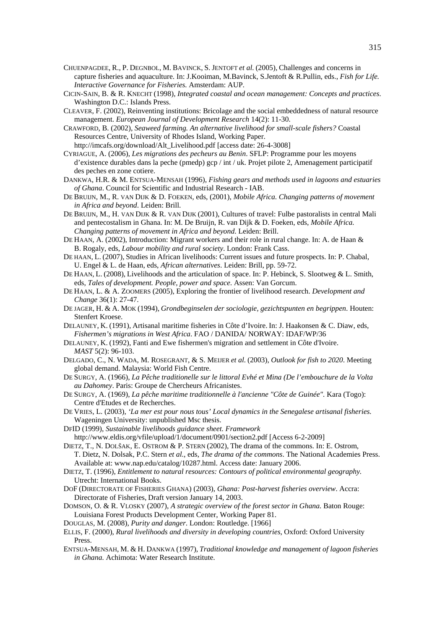- CHUENPAGDEE, R., P. DEGNBOL, M. BAVINCK, S. JENTOFT *et al.* (2005), Challenges and concerns in capture fisheries and aquaculture. In: J.Kooiman, M.Bavinck, S.Jentoft & R.Pullin, eds., *Fish for Life. Interactive Governance for Fisheries.* Amsterdam: AUP.
- CICIN-SAIN, B. & R. KNECHT (1998), *Integrated coastal and ocean management: Concepts and practices*. Washington D.C.: Islands Press.
- CLEAVER, F. (2002), Reinventing institutions: Bricolage and the social embeddedness of natural resource management. *European Journal of Development Research* 14(2): 11-30.
- CRAWFORD, B. (2002), *Seaweed farming. An alternative livelihood for small-scale fishers?* Coastal Resources Centre, University of Rhodes Island, Working Paper. http://imcafs.org/download/Alt\_Livelihood.pdf [access date: 26-4-3008]
- CYRIAGUE, A. (2006), *Les migrations des pecheurs au Benin*. SFLP: Programme pour les moyens d'existence durables dans la peche (pmedp) gcp / int / uk. Projet pilote 2, Amenagement participatif des peches en zone cotiere.
- DANKWA, H.R. & M. ENTSUA-MENSAH (1996), *Fishing gears and methods used in lagoons and estuaries of Ghana*. Council for Scientific and Industrial Research - IAB.
- DE BRUIJN, M., R. VAN DIJK & D. FOEKEN, eds, (2001), *Mobile Africa. Changing patterns of movement in Africa and beyond*. Leiden: Brill.
- DE BRUIJN, M., H. VAN DIJK & R. VAN DIJK (2001), Cultures of travel: Fulbe pastoralists in central Mali and pentecostalism in Ghana. In: M. De Bruijn, R. van Dijk & D. Foeken, eds, *Mobile Africa. Changing patterns of movement in Africa and beyond*. Leiden: Brill.
- DE HAAN, A. (2002), Introduction: Migrant workers and their role in rural change. In: A. de Haan & B. Rogaly, eds, *Labour mobility and rural society*. London: Frank Cass.
- DE HAAN, L. (2007), Studies in African livelihoods: Current issues and future prospects. In: P. Chabal, U. Engel & L. de Haan, eds, *African alternatives*. Leiden: Brill, pp. 59-72.
- DE HAAN, L. (2008), Livelihoods and the articulation of space. In: P. Hebinck, S. Slootweg & L. Smith, eds, *Tales of development. People, power and space*. Assen: Van Gorcum.
- DE HAAN, L. & A. ZOOMERS (2005), Exploring the frontier of livelihood research. *Development and Change* 36(1): 27-47.
- DE JAGER, H. & A. MOK (1994), *Grondbeginselen der sociologie, gezichtspunten en begrippen*. Houten: Stenfert Kroese.
- DELAUNEY, K. (1991), Artisanal maritime fisheries in Côte d'Ivoire. In: J. Haakonsen & C. Diaw, eds, *Fishermen's migrations in West Africa*. FAO / DANIDA/ NORWAY: IDAF/WP/36
- DELAUNEY, K. (1992), Fanti and Ewe fishermen's migration and settlement in Côte d'Ivoire. *MAST* 5(2): 96-103.
- DELGADO, C., N. WADA, M. ROSEGRANT, & S. MEIJER *et al.* (2003), *Outlook for fish to 2020*. Meeting global demand. Malaysia: World Fish Centre.
- DE SURGY, A. (1966), *La Pêche traditionelle sur le littoral Evhé et Mina (De l'embouchure de la Volta au Dahomey*. Paris: Groupe de Chercheurs Africanistes.
- DE SURGY, A. (1969), *La pêche maritime traditionnelle à l'ancienne "Côte de Guinée".* Kara (Togo): Centre d'Etudes et de Recherches.
- DE VRIES, L. (2003), *'La mer est pour nous tous' Local dynamics in the Senegalese artisanal fisheries.* Wageningen University: unpublished Msc thesis.
- DFID (1999), *Sustainable livelihoods guidance sheet. Framework*
- http://www.eldis.org/vfile/upload/1/document/0901/section2.pdf [Access 6-2-2009]

DIETZ, T., N. DOLŠAK, E. OSTROM & P. STERN (2002), The drama of the commons. In: E. Ostrom, T. Dietz, N. Dolsak, P.C. Stern *et al.*, eds, *The drama of the commons*. The National Academies Press. Available at: www.nap.edu/catalog/10287.html. Access date: January 2006.

- DIETZ, T. (1996), *Entitlement to natural resources: Contours of political environmental geography.* Utrecht: International Books.
- DOF (DIRECTORATE OF FISHERIES GHANA) (2003), *Ghana: Post-harvest fisheries overview*. Accra: Directorate of Fisheries, Draft version January 14, 2003.
- DOMSON, O. & R. VLOSKY (2007), *A strategic overview of the forest sector in Ghana.* Baton Rouge: Louisiana Forest Products Development Center, Working Paper 81.
- DOUGLAS, M. (2008), *Purity and danger*. London: Routledge. [1966]
- ELLIS, F. (2000), *Rural livelihoods and diversity in developing countries*, Oxford: Oxford University Press.
- ENTSUA-MENSAH, M. & H. DANKWA (1997), *Traditional knowledge and management of lagoon fisheries in Ghana.* Achimota: Water Research Institute.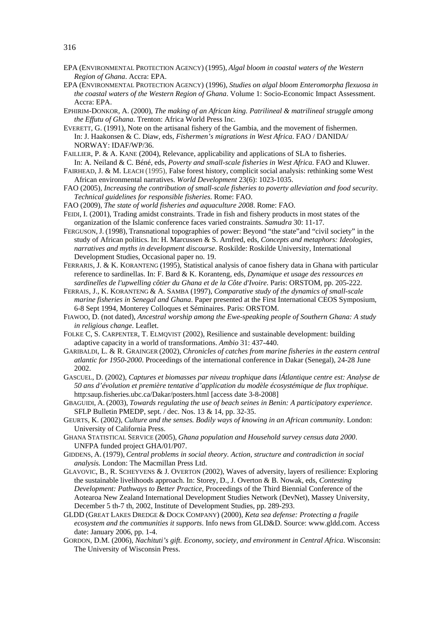- EPA (ENVIRONMENTAL PROTECTION AGENCY) (1995), *Algal bloom in coastal waters of the Western Region of Ghana*. Accra: EPA.
- EPA (ENVIRONMENTAL PROTECTION AGENCY) (1996), *Studies on algal bloom Enteromorpha flexuosa in the coastal waters of the Western Region of Ghana*. Volume 1: Socio-Economic Impact Assessment. Accra: EPA.
- EPHIRIM-DONKOR, A. (2000), *The making of an African king. Patrilineal & matrilineal struggle among the Effutu of Ghana*. Trenton: Africa World Press Inc.
- EVERETT, G. (1991), Note on the artisanal fishery of the Gambia, and the movement of fishermen. In: J. Haakonsen & C. Diaw, eds, *Fishermen's migrations in West Africa*. FAO / DANIDA/ NORWAY: IDAF/WP/36.
- FAILLIER, P. & A. KANE (2004), Relevance, applicability and applications of SLA to fisheries. In: A. Neiland & C. Béné, eds, *Poverty and small-scale fisheries in West Africa*. FAO and Kluwer.
- FAIRHEAD, J. & M. LEACH (1995), False forest history, complicit social analysis: rethinking some West African environmental narratives. *World Development* 23(6): 1023-1035.
- FAO (2005), *Increasing the contribution of small-scale fisheries to poverty alleviation and food security*. *Technical guidelines for responsible fisheries*. Rome: FAO.
- FAO (2009), *The state of world fisheries and aquaculture 2008*. Rome: FAO.
- FEIDI, I. (2001), Trading amidst constraints. Trade in fish and fishery products in most states of the organization of the Islamic conference faces varied constraints. *Samudra* 30: 11-17.
- FERGUSON, J. (1998), Transnational topographies of power: Beyond "the state"and "civil society" in the study of African politics. In: H. Marcussen & S. Arnfred, eds, *Concepts and metaphors: Ideologies, narratives and myths in development discourse*. Roskilde: Roskilde University, International Development Studies, Occasional paper no. 19.
- FERRARIS, J. & K. KORANTENG (1995), Statistical analysis of canoe fishery data in Ghana with particular reference to sardinellas. In: F. Bard & K. Koranteng, eds, *Dynamique et usage des ressources en sardinelles de l'upwelling côtier du Ghana et de la Côte d'Ivoire*. Paris: ORSTOM, pp. 205-222.
- FERRAIS, J., K. KORANTENG & A. SAMBA (1997), *Comparative study of the dynamics of small-scale marine fisheries in Senegal and Ghana*. Paper presented at the First International CEOS Symposium, 6-8 Sept 1994, Monterey Colloques et Séminaires. Paris: ORSTOM.
- FIAWOO, D. (not dated), *Ancestral worship among the Ewe-speaking people of Southern Ghana: A study in religious change*. Leaflet.
- FOLKE C, S. CARPENTER, T. ELMQVIST (2002), Resilience and sustainable development: building adaptive capacity in a world of transformations. *Ambio* 31: 437-440.
- GARIBALDI, L. & R. GRAINGER (2002), C*hronicles of catches from marine fisheries in the eastern central atlantic for 1950-2000*. Proceedings of the international conference in Dakar (Senegal), 24-28 June 2002.
- GASCUEL, D. (2002), *Captures et biomasses par niveau trophique dans lÁtlantique centre est: Analyse de 50 ans d'évolution et première tentative d'application du modèle écosystémique de flux trophique*. http:saup.fisheries.ubc.ca/Dakar/posters.html [access date 3-8-2008]
- GBAGUIDI, A. (2003), *Towards regulating the use of beach seines in Benin: A participatory experience*. SFLP Bulletin PMEDP, sept. / dec. Nos. 13 & 14, pp. 32-35.
- GEURTS, K. (2002), *Culture and the senses. Bodily ways of knowing in an African community*. London: University of California Press.
- GHANA STATISTICAL SERVICE (2005), *Ghana population and Household survey census data 2000*. UNFPA funded project GHA/01/P07.
- GIDDENS, A. (1979), *Central problems in social theory. Action, structure and contradiction in social analysis.* London: The Macmillan Press Ltd.
- GLAVOVIC, B., R. SCHEYVENS & J. OVERTON (2002), Waves of adversity, layers of resilience: Exploring the sustainable livelihoods approach. In: Storey, D., J. Overton & B. Nowak, eds, *Contesting Development: Pathways to Better Practice*, Proceedings of the Third Biennial Conference of the Aotearoa New Zealand International Development Studies Network (DevNet), Massey University, December 5 th-7 th, 2002, Institute of Development Studies, pp. 289-293.
- GLDD (GREAT LAKES DREDGE & DOCK COMPANY) (2000), *Keta sea defense: Protecting a fragile ecosystem and the communities it supports*. Info news from GLD&D. Source: www.gldd.com. Access date: January 2006, pp. 1-4.
- GORDON, D.M. (2006), *Nachituti's gift. Economy, society, and environment in Central Africa*. Wisconsin: The University of Wisconsin Press.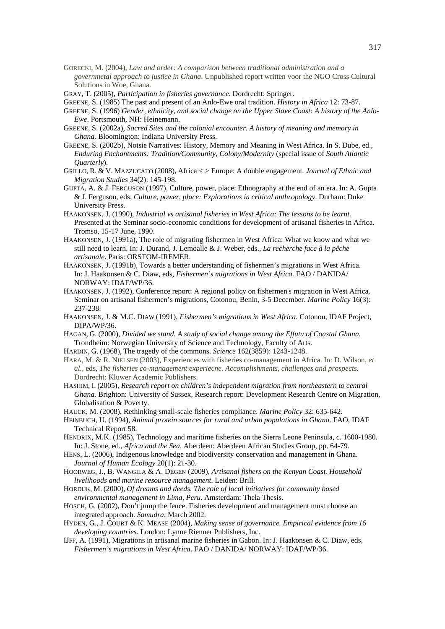- GORECKI, M. (2004), *Law and order: A comparison between traditional administration and a governmetal approach to justice in Ghana*. Unpublished report written voor the NGO Cross Cultural Solutions in Woe, Ghana.
- GRAY, T. (2005), *Participation in fisheries governance*. Dordrecht: Springer.
- GREENE, S. (1985) The past and present of an Anlo-Ewe oral tradition. *History in Africa* 12: 73-87.
- GREENE, S. (1996) *Gender, ethnicity, and social change on the Upper Slave Coast: A history of the Anlo-Ewe*. Portsmouth, NH: Heinemann.
- GREENE, S. (2002a), *Sacred Sites and the colonial encounter. A history of meaning and memory in Ghana.* Bloomington: Indiana University Press.
- GREENE, S. (2002b), Notsie Narratives: History, Memory and Meaning in West Africa. In S. Dube, ed., *Enduring Enchantments: Tradition/Community, Colony/Modernity* (special issue of *South Atlantic Quarterly*).
- GRILLO, R. & V. MAZZUCATO (2008), Africa < > Europe: A double engagement. *Journal of Ethnic and Migration Studies* 34(2): 145-198.
- GUPTA, A. & J. FERGUSON (1997), Culture, power, place: Ethnography at the end of an era. In: A. Gupta & J. Ferguson, eds, *Culture, power, place: Explorations in critical anthropology*. Durham: Duke University Press.
- HAAKONSEN, J. (1990), *Industrial vs artisanal fisheries in West Africa: The lessons to be learnt.* Presented at the Seminar socio-economic conditions for development of artisanal fisheries in Africa. Tromso, 15-17 June, 1990.
- HAAKONSEN, J. (1991a), The role of migrating fishermen in West Africa: What we know and what we still need to learn. In: J. Durand, J. Lemoalle & J. Weber, eds., *La recherche face à la pêche artisanale*. Paris: ORSTOM-IREMER.
- HAAKONSEN, J. (1991b), Towards a better understanding of fishermen's migrations in West Africa. In: J. Haakonsen & C. Diaw, eds, *Fishermen's migrations in West Africa*. FAO / DANIDA/ NORWAY: IDAF/WP/36.
- HAAKONSEN, J. (1992), Conference report: A regional policy on fishermen's migration in West Africa. Seminar on artisanal fishermen's migrations, Cotonou, Benin, 3-5 December. *Marine Policy* 16(3): 237-238.
- HAAKONSEN, J. & M.C. DIAW (1991), *Fishermen's migrations in West Africa*. Cotonou, IDAF Project, DIPA/WP/36.
- HAGAN, G. (2000), *Divided we stand. A study of social change among the Effutu of Coastal Ghana.* Trondheim: Norwegian University of Science and Technology, Faculty of Arts.
- HARDIN, G. (1968), The tragedy of the commons. *Science* 162(3859): 1243-1248.
- HARA, M. & R. NIELSEN (2003), Experiences with fisheries co-management in Africa. In: D. Wilson, *et al.,* eds, *The fisheries co-management experiecne. Accomplishments, challenges and prospects.* Dordrecht: Kluwer Academic Publishers.
- HASHIM, I. (2005), *Research report on children's independent migration from northeastern to central Ghana.* Brighton: University of Sussex, Research report: Development Research Centre on Migration, Globalisation & Poverty.
- HAUCK, M. (2008), Rethinking small-scale fisheries compliance. *Marine Policy* 32: 635-642.
- HEINBUCH, U. (1994), *Animal protein sources for rural and urban populations in Ghana*. FAO, IDAF Technical Report 58.
- HENDRIX, M.K. (1985), Technology and maritime fisheries on the Sierra Leone Peninsula, c. 1600-1980. In: J. Stone, ed., *Africa and the Sea*. Aberdeen: Aberdeen African Studies Group, pp. 64-79.
- HENS, L. (2006), Indigenous knowledge and biodiversity conservation and management in Ghana. *Journal of Human Ecology* 20(1): 21-30.
- HOORWEG, J., B. WANGILA & A. DEGEN (2009), *Artisanal fishers on the Kenyan Coast. Household livelihoods and marine resource management*. Leiden: Brill.
- HORDIJK, M. (2000), *Of dreams and deeds. The role of local initiatives for community based environmental management in Lima, Peru*. Amsterdam: Thela Thesis.
- HOSCH, G. (2002), Don't jump the fence. Fisheries development and management must choose an integrated approach. *Samudra*, March 2002.
- HYDEN, G., J. COURT & K. MEASE (2004), *Making sense of governance. Empirical evidence from 16 developing countries*. London: Lynne Rienner Publishers, Inc.
- IJFF, A. (1991), Migrations in artisanal marine fisheries in Gabon. In: J. Haakonsen & C. Diaw, eds, *Fishermen's migrations in West Africa*. FAO / DANIDA/ NORWAY: IDAF/WP/36.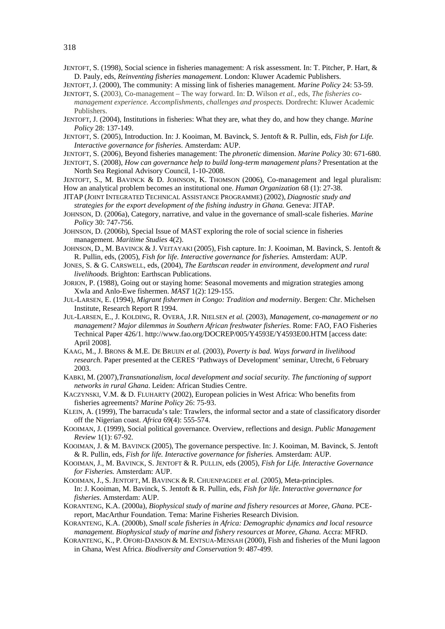- JENTOFT, S. (1998), Social science in fisheries management: A risk assessment. In: T. Pitcher, P. Hart, & D. Pauly, eds, *Reinventing fisheries management*. London: Kluwer Academic Publishers.
- JENTOFT, J. (2000), The community: A missing link of fisheries management. *Marine Policy* 24: 53-59. JENTOFT, S. (2003), Co-management – The way forward. In: D. Wilson *et al.*, eds, *The fisheries co-*
- *management experience. Accomplishments, challenges and prospects.* Dordrecht: Kluwer Academic Publishers.
- JENTOFT, J. (2004), Institutions in fisheries: What they are, what they do, and how they change. *Marine Policy* 28: 137-149.
- JENTOFT, S. (2005), Introduction. In: J. Kooiman, M. Bavinck, S. Jentoft & R. Pullin, eds, *Fish for Life. Interactive governance for fisheries*. Amsterdam: AUP.
- JENTOFT, S. (2006), Beyond fisheries management: The *phronetic* dimension. *Marine Policy* 30: 671-680.
- JENTOFT, S. (2008), *How can governance help to build long-term management plans?* Presentation at the North Sea Regional Advisory Council, 1-10-2008.
- JENTOFT, S., M. BAVINCK & D. JOHNSON, K. THOMSON (2006), Co-management and legal pluralism: How an analytical problem becomes an institutional one. *Human Organization* 68 (1): 27-38.
- JITAP (JOINT INTEGRATED TECHNICAL ASSISTANCE PROGRAMME) (2002), *Diagnostic study and strategies for the export development of the fishing industry in Ghana.* Geneva: JITAP.
- JOHNSON, D. (2006a), Category, narrative, and value in the governance of small-scale fisheries. *Marine Policy* 30: 747-756.
- JOHNSON, D. (2006b), Special Issue of MAST exploring the role of social science in fisheries management. *Maritime Studies* 4(2).
- JOHNSON, D., M. BAVINCK & J. VEITAYAKI (2005), Fish capture. In: J. Kooiman, M. Bavinck, S. Jentoft & R. Pullin, eds, (2005), *Fish for life. Interactive governance for fisheries.* Amsterdam: AUP.
- JONES, S. & G. CARSWELL, eds, (2004), *The Earthscan reader in environment, development and rural livelihoods.* Brighton: Earthscan Publications.
- JORION, P. (1988), Going out or staying home: Seasonal movements and migration strategies among Xwla and Anlo-Ewe fishermen. *MAST* 1(2): 129-155.
- JUL-LARSEN, E. (1994), *Migrant fishermen in Congo: Tradition and modernity*. Bergen: Chr. Michelsen Institute, Research Report R 1994.
- JUL-LARSEN, E., J. KOLDING, R. OVERÅ, J.R. NIELSEN *et al.* (2003), *Management, co-management or no management? Major dilemmas in Southern African freshwater fisheries*. Rome: FAO, FAO Fisheries Technical Paper 426/1. http://www.fao.org/DOCREP/005/Y4593E/Y4593E00.HTM [access date: April 2008].
- KAAG, M., J. BRONS & M.E. DE BRUIJN *et al.* (2003), *Poverty is bad. Ways forward in livelihood research.* Paper presented at the CERES 'Pathways of Development' seminar, Utrecht, 6 February 2003.
- KABKI, M. (2007),*Transnationalism, local development and social security. The functioning of support networks in rural Ghana*. Leiden: African Studies Centre.
- KACZYNSKI, V.M. & D. FLUHARTY (2002), European policies in West Africa: Who benefits from fisheries agreements? *Marine Policy* 26: 75-93.
- KLEIN, A. (1999), The barracuda's tale: Trawlers, the informal sector and a state of classificatory disorder off the Nigerian coast. *Africa* 69(4): 555-574.
- KOOIMAN, J. (1999), Social political governance. Overview, reflections and design. *Public Management Review* 1(1): 67-92.
- KOOIMAN, J. & M. BAVINCK (2005), The governance perspective. In: J. Kooiman, M. Bavinck, S. Jentoft & R. Pullin, eds, *Fish for life. Interactive governance for fisheries.* Amsterdam: AUP.
- KOOIMAN, J., M. BAVINCK, S. JENTOFT & R. PULLIN, eds (2005), *Fish for Life. Interactive Governance for Fisheries.* Amsterdam: AUP.
- KOOIMAN, J., S. JENTOFT, M. BAVINCK & R. CHUENPAGDEE *et al.* (2005), Meta-principles. In: J. Kooiman, M. Bavinck, S. Jentoft & R. Pullin, eds, *Fish for life. Interactive governance for fisheries.* Amsterdam: AUP.
- KORANTENG, K.A. (2000a), *Biophysical study of marine and fishery resources at Moree, Ghana*. PCEreport, MacArthur Foundation. Tema: Marine Fisheries Research Division.
- KORANTENG, K.A. (2000b), *Small scale fisheries in Africa: Demographic dynamics and local resource management. Biophysical study of marine and fishery resources at Moree, Ghana. Accra: MFRD.*
- KORANTENG, K., P. OFORI-DANSON & M. ENTSUA-MENSAH (2000), Fish and fisheries of the Muni lagoon in Ghana, West Africa. *Biodiversity and Conservation* 9: 487-499.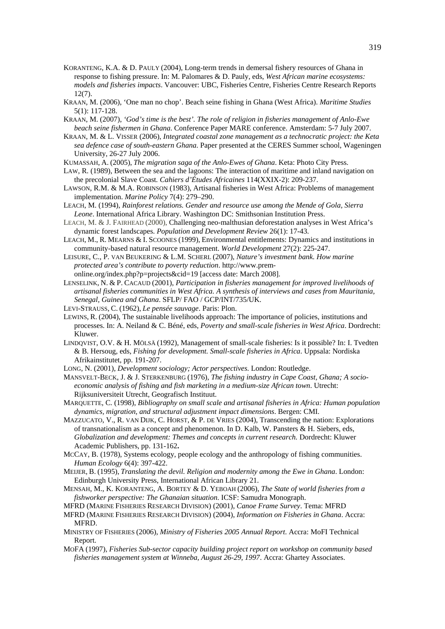- KORANTENG, K.A. & D. PAULY (2004), Long-term trends in demersal fishery resources of Ghana in response to fishing pressure. In: M. Palomares & D. Pauly, eds, *West African marine ecosystems: models and fisheries impacts*. Vancouver: UBC, Fisheries Centre, Fisheries Centre Research Reports 12(7).
- KRAAN, M. (2006), 'One man no chop'. Beach seine fishing in Ghana (West Africa). *Maritime Studies* 5(1): 117-128.
- KRAAN, M. (2007), *'God's time is the best'. The role of religion in fisheries management of Anlo-Ewe beach seine fishermen in Ghana*. Conference Paper MARE conference. Amsterdam: 5-7 July 2007.
- KRAAN, M. & L. VISSER (2006), *Integrated coastal zone management as a technocratic project: the Keta sea defence case of south-eastern Ghana*. Paper presented at the CERES Summer school, Wageningen University, 26-27 July 2006.
- KUMASSAH, A. (2005), *The migration saga of the Anlo-Ewes of Ghana*. Keta: Photo City Press.
- LAW, R. (1989), Between the sea and the lagoons: The interaction of maritime and inland navigation on the precolonial Slave Coast*. Cahiers d'Études Africaines* 114(XXIX-2): 209-237.
- LAWSON, R.M. & M.A. ROBINSON (1983), Artisanal fisheries in West Africa: Problems of management implementation. *Marine Policy* 7(4): 279–290.
- LEACH, M. (1994), *Rainforest relations. Gender and resource use among the Mende of Gola, Sierra Leone*. International Africa Library. Washington DC: Smithsonian Institution Press.
- LEACH, M. & J. FAIRHEAD (2000), Challenging neo-malthusian deforestation analyses in West Africa's dynamic forest landscapes. *Population and Development Review* 26(1): 17-43.
- LEACH, M., R. MEARNS & I. SCOONES (1999), Environmental entitlements: Dynamics and institutions in community-based natural resource management. *World Development* 27(2): 225-247.
- LEISURE, C., P. VAN BEUKERING & L.M. SCHERL (2007), *Nature's investment bank. How marine protected area's contribute to poverty reduction*. http://www.premonline.org/index.php?p=projects&cid=19 [access date: March 2008].
- LENSELINK, N. & P. CACAUD (2001), *Participation in fisheries management for improved livelihoods of artisanal fisheries communities in West Africa. A synthesis of interviews and cases from Mauritania, Senegal, Guinea and Ghana*. SFLP/ FAO / GCP/INT/735/UK.
- LEVI-STRAUSS, C. (1962), *Le pensée sauvage*. Paris: Plon.
- LEWINS, R. (2004), The sustainable livelihoods approach: The importance of policies, institutions and processes. In: A. Neiland & C. Béné, eds, *Poverty and small-scale fisheries in West Africa*. Dordrecht: Kluwer.
- LINDQVIST, O.V. & H. MÖLSÄ (1992), Management of small-scale fisheries: Is it possible? In: I. Tvedten & B. Hersoug, eds, *Fishing for development. Small-scale fisheries in Africa*. Uppsala: Nordiska Afrikainstitutet, pp. 191-207.
- LONG, N. (2001), *Development sociology; Actor perspectives.* London: Routledge.
- MANSVELT-BECK, J. & J. STERKENBURG (1976), *The fishing industry in Cape Coast, Ghana; A socioeconomic analysis of fishing and fish marketing in a medium-size African town*. Utrecht: Rijksuniversiteit Utrecht, Geografisch Instituut.
- MARQUETTE, C. (1998), *Bibliography on small scale and artisanal fisheries in Africa: Human population dynamics, migration, and structural adjustment impact dimensions*. Bergen: CMI.
- MAZZUCATO, V., R. VAN DIJK, C. HORST, & P. DE VRIES (2004), Transcending the nation: Explorations of transnationalism as a concept and phenomenon. In D. Kalb, W. Pansters & H. Siebers, eds, *Globalization and development: Themes and concepts in current research.* Dordrecht: Kluwer Academic Publishers, pp. 131-162**.**
- MCCAY, B. (1978), Systems ecology, people ecology and the anthropology of fishing communities. *Human Ecology* 6(4): 397-422.
- MEIJER, B. (1995), *Translating the devil. Religion and modernity among the Ewe in Ghana*. London: Edinburgh University Press, International African Library 21.
- MENSAH, M., K. KORANTENG, A. BORTEY & D. YEBOAH (2006), *The State of world fisheries from a fishworker perspective: The Ghanaian situation*. ICSF: Samudra Monograph.
- MFRD (MARINE FISHERIES RESEARCH DIVISION) (2001), *Canoe Frame Survey*. Tema: MFRD
- MFRD (MARINE FISHERIES RESEARCH DIVISION) (2004), *Information on Fisheries in Ghana*. Accra: MFRD.
- MINISTRY OF FISHERIES (2006), *Ministry of Fisheries 2005 Annual Report*. Accra: MoFI Technical Report.
- MOFA (1997), *Fisheries Sub-sector capacity building project report on workshop on community based fisheries management system at Winneba, August 26-29, 1997*. Accra: Ghartey Associates.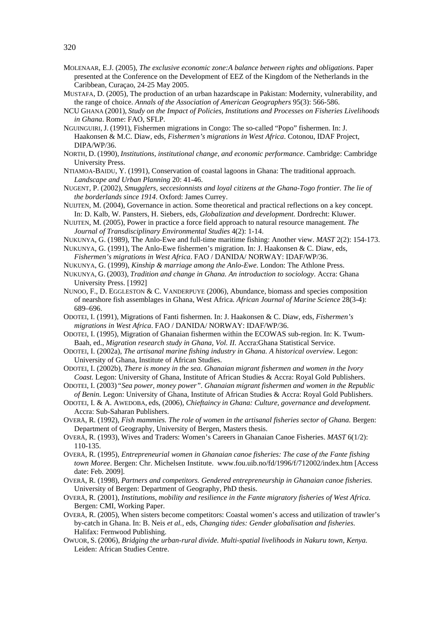- MOLENAAR, E.J. (2005), *The exclusive economic zone:A balance between rights and obligations*. Paper presented at the Conference on the Development of EEZ of the Kingdom of the Netherlands in the Caribbean, Curaçao, 24-25 May 2005.
- MUSTAFA, D. (2005), The production of an urban hazardscape in Pakistan: Modernity, vulnerability, and the range of choice. *Annals of the Association of American Geographers* 95(3): 566-586.
- NCU GHANA (2001), *Study on the Impact of Policies, Institutions and Processes on Fisheries Livelihoods in Ghana*. Rome: FAO, SFLP.
- NGUINGUIRI, J. (1991), Fishermen migrations in Congo: The so-called "Popo" fishermen. In: J. Haakonsen & M.C. Diaw, eds, *Fishermen's migrations in West Africa*. Cotonou, IDAF Project, DIPA/WP/36.
- NORTH, D. (1990), *Institutions, institutional change, and economic performance*. Cambridge: Cambridge University Press.
- NTIAMOA-BAIDU, Y. (1991), Conservation of coastal lagoons in Ghana: The traditional approach. *Landscape and Urban Planning* 20: 41-46.
- NUGENT, P. (2002), *Smugglers, seccesionnists and loyal citizens at the Ghana-Togo frontier. The lie of the borderlands since 1914*. Oxford: James Currey.
- NUIJTEN, M. (2004), Governance in action. Some theoretical and practical reflections on a key concept. In: D. Kalb, W. Pansters, H. Siebers, eds, *Globalization and development*. Dordrecht: Kluwer.
- NUIJTEN, M. (2005), Power in practice a force field approach to natural resource management. *The Journal of Transdisciplinary Environmental Studies* 4(2): 1-14.
- NUKUNYA, G. (1989), The Anlo-Ewe and full-time maritime fishing: Another view. *MAST* 2(2): 154-173.
- NUKUNYA, G. (1991), The Anlo-Ewe fishermen's migration. In: J. Haakonsen & C. Diaw, eds, *Fishermen's migrations in West Africa*. FAO / DANIDA/ NORWAY: IDAF/WP/36.
- NUKUNYA, G. (1999), *Kinship & marriage among the Anlo-Ewe*. London: The Athlone Press.
- NUKUNYA, G. (2003), *Tradition and change in Ghana. An introduction to sociology*. Accra: Ghana University Press. [1992]
- NUNOO, F., D. EGGLESTON & C. VANDERPUYE (2006), Abundance, biomass and species composition of nearshore fish assemblages in Ghana, West Africa. *African Journal of Marine Science* 28(3-4): 689–696.
- ODOTEI, I. (1991), Migrations of Fanti fishermen. In: J. Haakonsen & C. Diaw, eds, *Fishermen's migrations in West Africa*. FAO / DANIDA/ NORWAY: IDAF/WP/36.
- ODOTEI, I. (1995), Migration of Ghanaian fishermen within the ECOWAS sub-region. In: K. Twum-Baah, ed., *Migration research study in Ghana, Vol. II.* Accra:Ghana Statistical Service.
- ODOTEI, I. (2002a), *The artisanal marine fishing industry in Ghana. A historical overview*. Legon: University of Ghana, Institute of African Studies.
- ODOTEI, I. (2002b), *There is money in the sea. Ghanaian migrant fishermen and women in the Ivory Coast.* Legon: University of Ghana, Institute of African Studies & Accra: Royal Gold Publishers.
- ODOTEI, I. (2003) *"Sea power, money power". Ghanaian migrant fishermen and women in the Republic of Benin.* Legon: University of Ghana, Institute of African Studies & Accra: Royal Gold Publishers.
- ODOTEI, I. & A. AWEDOBA, eds, (2006), *Chieftaincy in Ghana: Culture, governance and development*. Accra: Sub-Saharan Publishers.
- OVERÅ, R. (1992), *Fish mammies. The role of women in the artisanal fisheries sector of Ghana.* Bergen: Department of Geography, University of Bergen, Masters thesis.
- OVERÅ, R. (1993), Wives and Traders: Women's Careers in Ghanaian Canoe Fisheries. *MAST* 6(1/2): 110-135.
- OVERÅ, R. (1995), *Entrepreneurial women in Ghanaian canoe fisheries: The case of the Fante fishing town Moree*. Bergen: Chr. Michelsen Institute. www.fou.uib.no/fd/1996/f/712002/index.htm [Access date: Feb. 2009].
- OVERÅ, R. (1998), *Partners and competitors. Gendered entrepreneurship in Ghanaian canoe fisheries.* University of Bergen: Department of Geography, PhD thesis.
- OVERÅ, R. (2001), *Institutions, mobility and resilience in the Fante migratory fisheries of West Africa*. Bergen: CMI, Working Paper.
- OVERÅ, R. (2005), When sisters become competitors: Coastal women's access and utilization of trawler's by-catch in Ghana. In: B. Neis *et al.,* eds, *Changing tides: Gender globalisation and fisheries*. Halifax: Fernwood Publishing.
- OWUOR, S. (2006), *Bridging the urban-rural divide. Multi-spatial livelihoods in Nakuru town, Kenya.*  Leiden: African Studies Centre.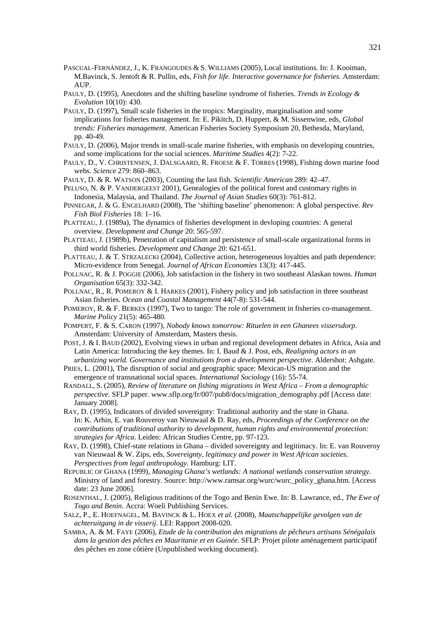- PASCUAL-FERNÁNDEZ, J., K. FRANGOUDES & S. WILLIAMS (2005), Local institutions. In: J. Kooiman, M.Bavinck, S. Jentoft & R. Pullin, eds, *Fish for life. Interactive governance for fisheries*. Amsterdam: AUP.
- PAULY, D. (1995), Anecdotes and the shifting baseline syndrome of fisheries. *Trends in Ecology & Evolution* 10(10): 430.
- PAULY, D. (1997), Small scale fisheries in the tropics: Marginality, marginalisation and some implications for fisheries management. In: E. Pikitch, D. Huppert, & M. Sissenwine, eds, *Global trends: Fisheries management*. American Fisheries Society Symposium 20, Bethesda, Maryland, pp. 40-49.
- PAULY, D. (2006), Major trends in small-scale marine fisheries, with emphasis on developing countries, and some implications for the social sciences. *Maritime Studies* 4(2): 7-22.
- PAULY, D., V. CHRISTENSEN, J. DALSGAARD, R. FROESE & F. TORRES (1998), Fishing down marine food webs. *Science* 279: 860–863.
- PAULY, D. & R. WATSON (2003), Counting the last fish. *Scientific American* 289: 42–47.

PELUSO, N. & P. VANDERGEEST 2001), Genealogies of the political forest and customary rights in Indonesia, Malaysia, and Thailand. *The Journal of Asian Studies* 60(3): 761-812.

- PINNEGAR, J. & G. ENGELHARD (2008), The 'shifting baseline' phenomenon: A global perspective. *Rev Fish Biol Fisheries* 18: 1–16.
- PLATTEAU, J. (1989a), The dynamics of fisheries development in devloping countries: A general overview. *Development and Change* 20: 565-597.
- PLATTEAU, J. (1989b), Penetration of capitalism and persistence of small-scale organizational forms in third world fisheries. *Development and Change* 20: 621-651.
- PLATTEAU, J. & T. STRZALECKI (2004), Collective action, heterogeneous loyalties and path dependence: Micro-evidence from Senegal*. Journal of African Economies* 13(3): 417-445.
- POLLNAC, R. & J. POGGIE (2006), Job satisfaction in the fishery in two southeast Alaskan towns. *Human Organisation* 65(3): 332-342.
- POLLNAC, R., R. POMEROY & I. HARKES (2001), Fishery policy and job satisfaction in three southeast Asian fisheries. *Ocean and Coastal Management* 44(7-8): 531-544.
- POMEROY, R. & F. BERKES (1997), Two to tango: The role of government in fisheries co-management. *Marine Policy* 21(5): 465-480.
- POMPERT, F. & S. CARON (1997), *Nobody knows tomorrow: Rituelen in een Ghanees vissersdorp*. Amsterdam: University of Amsterdam, Masters thesis.
- POST, J. & I. BAUD (2002), Evolving views in urban and regional development debates in Africa, Asia and Latin America: Introducing the key themes. In: I. Baud & J. Post, eds, *Realigning actors in an urbanizing world. Governance and institutions from a development perspective*. Aldershot: Ashgate.
- PRIES, L. (2001), The disruption of social and geographic space: Mexican-US migration and the emergence of transnational social spaces. *International Sociology* (16): 55-74.
- RANDALL, S. (2005), *Review of literature on fishing migrations in West Africa From a demographic perspective.* SFLP paper. www.sflp.org/fr/007/pub8/docs/migration\_demography.pdf [Access date: January 2008].
- RAY, D. (1995), Indicators of divided sovereignty: Traditional authority and the state in Ghana. In: K. Arhin, E. van Rouveroy van Nieuwaal & D. Ray, eds, *Proceedings of the Conference on the contributions of traditional authority to development, human rights and environmental protection: strategies for Africa*. Leiden: African Studies Centre, pp. 97-123.
- RAY, D. (1998), Chief-state relations in Ghana divided sovereignty and legitimacy. In: E. van Rouveroy van Nieuwaal & W. Zips, eds, *Sovereignty, legitimacy and power in West African societies. Perspectives from legal anthropology*. Hamburg: LIT.
- REPUBLIC OF GHANA (1999), *Managing Ghana's wetlands: A national wetlands conservation strategy*. Ministry of land and forestry. Source: http://www.ramsar.org/wurc/wurc\_policy\_ghana.htm. [Access date: 23 June 2006].
- ROSENTHAL, J. (2005), Religious traditions of the Togo and Benin Ewe. In: B. Lawrance, ed., *The Ewe of Togo and Benin*. Accra: Woeli Publishing Services.
- SALZ, P., E. HOEFNAGEL, M. BAVINCK & L. HOEX *et al.* (2008), *Maatschappelijke gevolgen van de achteruitgang in de visserij*. LEI: Rapport 2008-020.
- SAMBA, A. & M. FAYE (2006), *Etude de la contribution des migrations de pêcheurs artisans Sénégalais dans la gestion des pêches en Mauritanie et en Guinée*. SFLP: Projet pilote aménagement participatif des pêches en zone côtière (Unpublished working document).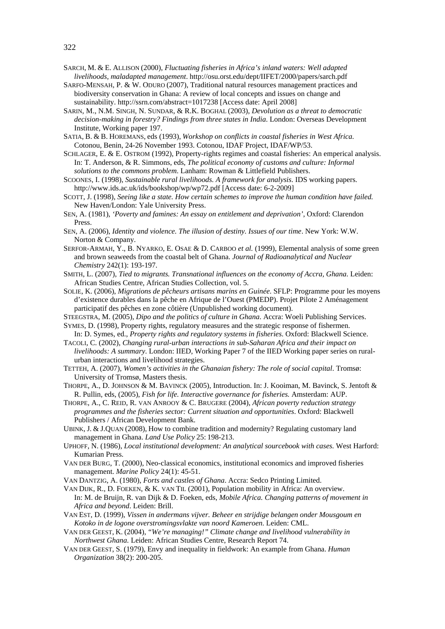- SARCH, M. & E. ALLISON (2000), *Fluctuating fisheries in Africa's inland waters: Well adapted livelihoods, maladapted management*. http://osu.orst.edu/dept/IIFET/2000/papers/sarch.pdf
- SARFO-MENSAH, P. & W. ODURO (2007), Traditional natural resources management practices and biodiversity conservation in Ghana: A review of local concepts and issues on change and sustainability. http://ssrn.com/abstract=1017238 [Access date: April 2008]
- SARIN, M., N.M. SINGH, N. SUNDAR, & R.K. BOGHAL (2003), *Devolution as a threat to democratic decision-making in forestry? Findings from three states in India*. London: Overseas Development Institute, Working paper 197.
- SATIA, B. & B. HOREMANS, eds (1993), *Workshop on conflicts in coastal fisheries in West Africa.* Cotonou, Benin, 24-26 November 1993. Cotonou, IDAF Project, IDAF/WP/53.
- SCHLAGER, E. & E. OSTROM (1992), Property-rights regimes and coastal fisheries: An emperical analysis. In: T. Anderson, & R. Simmons, eds, *The political economy of customs and culture: Informal solutions to the commons problem*. Lanham: Rowman & Littlefield Publishers.
- SCOONES, I. (1998), *Sustainable rural livelihoods. A framework for analysis*. IDS working papers. <http://www.ids.ac.uk/ids/bookshop/wp/wp72.pdf>[Access date: 6-2-2009]
- SCOTT, J. (1998), *Seeing like a state. How certain schemes to improve the human condition have failed.*  New Haven/London: Yale University Press.
- SEN, A. (1981), *'Poverty and famines: An essay on entitlement and deprivation'*, Oxford: Clarendon Press.
- SEN, A. (2006), *Identity and violence. The illusion of destiny. Issues of our time*. New York: W.W. Norton & Company.
- SERFOR-ARMAH, Y., B. NYARKO, E. OSAE & D. CARBOO *et al.* (1999), Elemental analysis of some green and brown seaweeds from the coastal belt of Ghana. *Journal of Radioanalytical and Nuclear Chemistry* 242(1): 193-197.
- SMITH, L. (2007), *Tied to migrants. Transnational influences on the economy of Accra, Ghana*. Leiden: African Studies Centre, African Studies Collection, vol. 5.
- SOLIE, K. (2006), *Migrations de pêcheurs artisans marins en Guinée*. SFLP: Programme pour les moyens d'existence durables dans la pêche en Afrique de l'Ouest (PMEDP). Projet Pilote 2 Aménagement participatif des pêches en zone côtière (Unpublished working document).
- STEEGSTRA, M. (2005), *Dipo and the politics of culture in Ghana*. Accra: Woeli Publishing Services.
- SYMES, D. (1998), Property rights, regulatory measures and the strategic response of fishermen. In: D. Symes, ed., *Property rights and regulatory systems in fisheries*. Oxford: Blackwell Science.
- TACOLI, C. (2002), *Changing rural-urban interactions in sub-Saharan Africa and their impact on livelihoods: A summary*. London: IIED, Working Paper 7 of the IIED Working paper series on ruralurban interactions and livelihood strategies.
- TETTEH, A. (2007), *Women's activities in the Ghanaian fishery: The role of social capital*. Tromsø: University of Tromsø, Masters thesis.
- THORPE, A., D. JOHNSON & M. BAVINCK (2005), Introduction. In: J. Kooiman, M. Bavinck, S. Jentoft & R. Pullin, eds, (2005), *Fish for life. Interactive governance for fisheries.* Amsterdam: AUP.
- THORPE, A., C. REID, R. VAN ANROOY & C. BRUGERE (2004), *African poverty reduction strategy programmes and the fisheries sector: Current situation and opportunities*. Oxford: Blackwell Publishers / African Development Bank.
- UBINK, J. & J.QUAN (2008), How to combine tradition and modernity? Regulating customary land management in Ghana. *Land Use Policy* 25: 198-213.
- UPHOFF, N. (1986), *Local institutional development: An analytical sourcebook with cases.* West Harford: Kumarian Press.
- VAN DER BURG, T. (2000), Neo-classical economics, institutional economics and improved fisheries management. *Marine Policy* 24(1): 45-51.
- VAN DANTZIG, A. (1980), *Forts and castles of Ghana*. Accra: Sedco Printing Limited.
- VAN DIJK, R., D. FOEKEN, & K. VAN TIL (2001), Population mobility in Africa: An overview. In: M. de Bruijn, R. van Dijk & D. Foeken, eds, *Mobile Africa. Changing patterns of movement in Africa and beyond*. Leiden: Brill.
- VAN EST, D. (1999), *Vissen in andermans vijver. Beheer en strijdige belangen onder Mousgoum en Kotoko in de logone overstromingsvlakte van noord Kameroen*. Leiden: CML.
- VAN DER GEEST, K. (2004), *"We're managing!" Climate change and livelihood vulnerability in Northwest Ghana.* Leiden: African Studies Centre, Research Report 74.
- VAN DER GEEST, S. (1979), Envy and inequality in fieldwork: An example from Ghana. *Human Organization* 38(2): 200-205.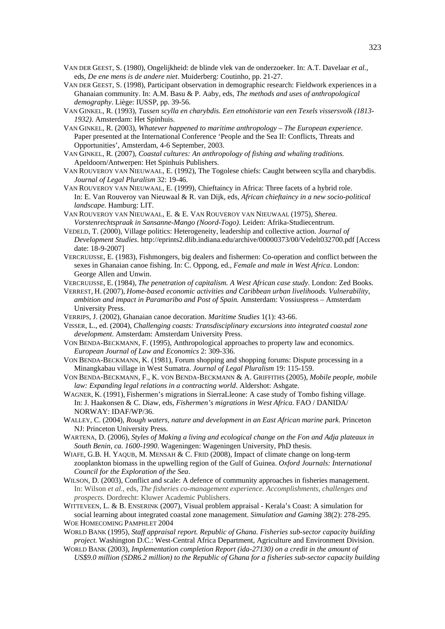- VAN DER GEEST, S. (1980), Ongelijkheid: de blinde vlek van de onderzoeker. In: A.T. Davelaar *et al.,*  eds, *De ene mens is de andere niet*. Muiderberg: Coutinho, pp. 21-27.
- VAN DER GEEST, S. (1998), Participant observation in demographic research: Fieldwork experiences in a Ghanaian community. In: A.M. Basu & P. Aaby, eds, *The methods and uses of anthropological demography*. Liège: IUSSP, pp. 39-56.
- VAN GINKEL, R. (1993), *Tussen scylla en charybdis. Een etnohistorie van een Texels vissersvolk (1813- 1932)*. Amsterdam: Het Spinhuis.
- VAN GINKEL, R. (2003), *Whatever happened to maritime anthropology The European experience*. Paper presented at the International Conference 'People and the Sea II: Conflicts, Threats and Opportunities', Amsterdam, 4-6 September, 2003.
- VAN GINKEL, R. (2007), *Coastal cultures: An anthropology of fishing and whaling traditions.* Apeldoorn/Antwerpen: Het Spinhuis Publishers.
- VAN ROUVEROY VAN NIEUWAAL, E. (1992), The Togolese chiefs: Caught between scylla and charybdis. *Journal of Legal Pluralism* 32: 19-46.
- VAN ROUVEROY VAN NIEUWAAL, E. (1999), Chieftaincy in Africa: Three facets of a hybrid role. In: E. Van Rouveroy van Nieuwaal & R. van Dijk, eds, *African chieftaincy in a new socio-political landscape*. Hamburg: LIT.
- VAN ROUVEROY VAN NIEUWAAL, E. & E. VAN ROUVEROY VAN NIEUWAAL (1975), *Sherea. Vorstenrechtspraak in Sansanne-Mango (Noord-Togo)*. Leiden: Afrika-Studiecentrum.
- VEDELD, T. (2000), Village politics: Heterogeneity, leadership and collective action. *Journal of Development Studies*. http://eprints2.dlib.indiana.edu/archive/00000373/00/Vedelt032700.pdf [Access date: 18-9-2007]
- VERCRUIJSSE, E. (1983), Fishmongers, big dealers and fishermen: Co-operation and conflict between the sexes in Ghanaian canoe fishing. In: C. Oppong, ed., *Female and male in West Africa*. London: George Allen and Unwin.
- VERCRUIJSSE, E. (1984), *The penetration of capitalism. A West African case study*. London: Zed Books. VERREST, H. (2007), *Home-based economic activities and Caribbean urban livelihoods. Vulnerability,*
- *ambition and impact in Paramaribo and Post of Spain*. Amsterdam: Vossiuspress Amsterdam University Press.
- VERRIPS, J. (2002), Ghanaian canoe decoration. *Maritime Studies* 1(1): 43-66.
- VISSER, L., ed. (2004), *Challenging coasts: Transdisciplinary excursions into integrated coastal zone development*. Amsterdam: Amsterdam University Press.
- VON BENDA-BECKMANN, F. (1995), Anthropological approaches to property law and economics. *European Journal of Law and Economics* 2: 309-336.
- VON BENDA-BECKMANN, K. (1981), Forum shopping and shopping forums: Dispute processing in a Minangkabau village in West Sumatra. *Journal of Legal Pluralism* 19: 115-159.
- VON BENDA-BECKMANN, F., K. VON BENDA-BECKMANN & A. GRIFFITHS (2005), *Mobile people, mobile law: Expanding legal relations in a contracting world*. Aldershot: Ashgate.
- WAGNER, K. (1991), Fishermen's migrations in SierraLleone: A case study of Tombo fishing village. In: J. Haakonsen & C. Diaw, eds, *Fishermen's migrations in West Africa*. FAO / DANIDA/ NORWAY: IDAF/WP/36.
- WALLEY, C. (2004), *Rough waters, nature and development in an East African marine park*. Princeton NJ: Princeton University Press.
- WARTENA, D. (2006), *Styles of Making a living and ecological change on the Fon and Adja plateaux in South Benin, ca. 1600-1990*. Wageningen: Wageningen University, PhD thesis.
- WIAFE, G.B. H. YAQUB, M. MENSAH & C. FRID (2008), Impact of climate change on long-term zooplankton biomass in the upwelling region of the Gulf of Guinea. *Oxford Journals: International Council for the Exploration of the Sea*.
- WILSON, D. (2003), Conflict and scale: A defence of community approaches in fisheries management. In: Wilson *et al.,* eds, *The fisheries co-management experience. Accomplishments, challenges and prospects.* Dordrecht: Kluwer Academic Publishers.
- WITTEVEEN, L. & B. ENSERINK (2007), Visual problem appraisal Kerala's Coast: A simulation for social learning about integrated coastal zone management. *Simulation and Gaming* 38(2): 278-295. WOE HOMECOMING PAMPHLET 2004
- WORLD BANK (1995), *Staff appraisal report. Republic of Ghana. Fisheries sub-sector capacity building project.* Washington D.C.: West-Central Africa Department, Agriculture and Environment Division.
- WORLD BANK (2003), *Implementation completion Report (ida-27130) on a credit in the amount of US\$9.0 million (SDR6.2 million) to the Republic of Ghana for a fisheries sub-sector capacity building*